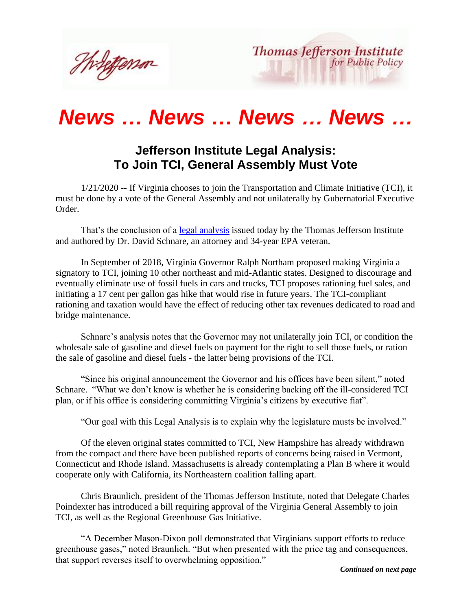Thilettemor



## *News … News … News … News …*

## **Jefferson Institute Legal Analysis: To Join TCI, General Assembly Must Vote**

 1/21/2020 -- If Virginia chooses to join the Transportation and Climate Initiative (TCI), it must be done by a vote of the General Assembly and not unilaterally by Gubernatorial Executive Order.

 That's the conclusion of a [legal analysis](http://www.thomasjeffersoninst.org/files/3/TCI%20Legal%20Analysis.pdf) issued today by the Thomas Jefferson Institute and authored by Dr. David Schnare, an attorney and 34-year EPA veteran.

 In September of 2018, Virginia Governor Ralph Northam proposed making Virginia a signatory to TCI, joining 10 other northeast and mid-Atlantic states. Designed to discourage and eventually eliminate use of fossil fuels in cars and trucks, TCI proposes rationing fuel sales, and initiating a 17 cent per gallon gas hike that would rise in future years. The TCI-compliant rationing and taxation would have the effect of reducing other tax revenues dedicated to road and bridge maintenance.

 Schnare's analysis notes that the Governor may not unilaterally join TCI, or condition the wholesale sale of gasoline and diesel fuels on payment for the right to sell those fuels, or ration the sale of gasoline and diesel fuels - the latter being provisions of the TCI.

 "Since his original announcement the Governor and his offices have been silent," noted Schnare. "What we don't know is whether he is considering backing off the ill-considered TCI plan, or if his office is considering committing Virginia's citizens by executive fiat".

"Our goal with this Legal Analysis is to explain why the legislature musts be involved."

 Of the eleven original states committed to TCI, New Hampshire has already withdrawn from the compact and there have been published reports of concerns being raised in Vermont, Connecticut and Rhode Island. Massachusetts is already contemplating a Plan B where it would cooperate only with California, its Northeastern coalition falling apart.

 Chris Braunlich, president of the Thomas Jefferson Institute, noted that Delegate Charles Poindexter has introduced a bill requiring approval of the Virginia General Assembly to join TCI, as well as the Regional Greenhouse Gas Initiative.

 "A December Mason-Dixon poll demonstrated that Virginians support efforts to reduce greenhouse gases," noted Braunlich. "But when presented with the price tag and consequences, that support reverses itself to overwhelming opposition."